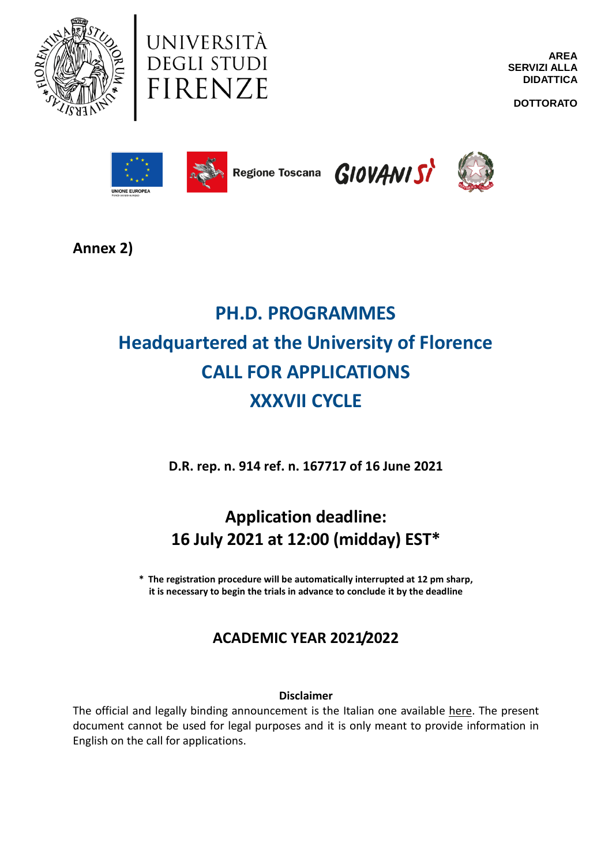



**AREA SERVIZI ALLA DIDATTICA**

**DOTTORATO**









**Annex 2)**

# **PH.D. PROGRAMMES Headquartered at the University of Florence CALL FOR APPLICATIONS XXXVII CYCLE**

**D.R. rep. n. 914 ref. n. 167717 of 16 June 2021**

# **Application deadline: 16 July 2021 at 12:00 (midday) EST\***

**\* The registration procedure will be automatically interrupted at 12 pm sharp, it is necessary to begin the trials in advance to conclude it by the deadline**

# **ACADEMIC YEAR 2021/2022**

# **Disclaimer**

The official and legally binding announcement is the Italian one available [here.](https://www.unifi.it/p12018.html) The present document cannot be used for legal purposes and it is only meant to provide information in English on the call for applications.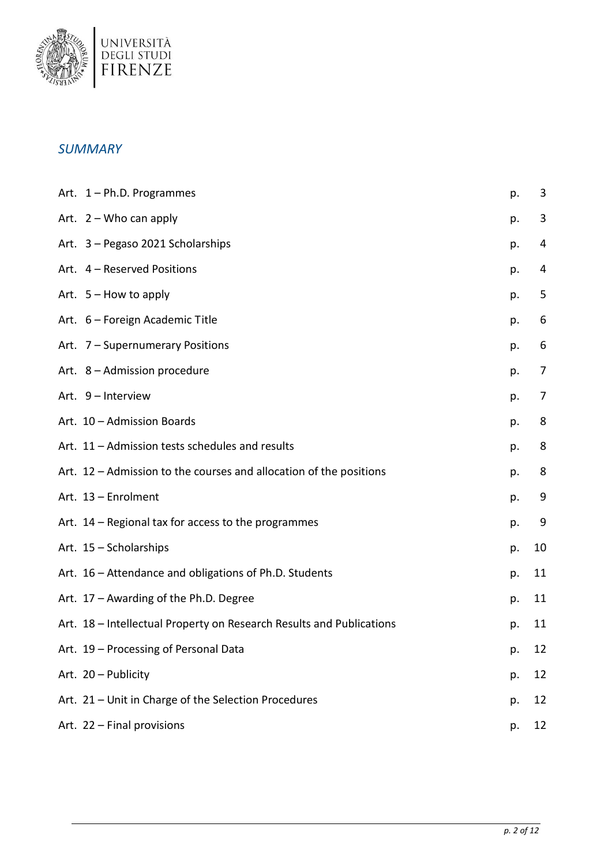

# *SUMMARY*

| Art. 1 - Ph.D. Programmes                                            | p. | 3  |
|----------------------------------------------------------------------|----|----|
| Art. $2 -$ Who can apply                                             | p. | 3  |
| Art. 3 - Pegaso 2021 Scholarships                                    | p. | 4  |
| Art. 4 - Reserved Positions                                          | p. | 4  |
| Art. $5 -$ How to apply                                              | p. | 5  |
| Art. 6 - Foreign Academic Title                                      | p. | 6  |
| Art. 7 - Supernumerary Positions                                     | p. | 6  |
| Art. 8 - Admission procedure                                         | p. | 7  |
| Art. 9 - Interview                                                   | p. | 7  |
| Art. 10 - Admission Boards                                           | p. | 8  |
| Art. 11 - Admission tests schedules and results                      | p. | 8  |
| Art. 12 - Admission to the courses and allocation of the positions   | p. | 8  |
| Art. 13 - Enrolment                                                  | p. | 9  |
| Art. 14 - Regional tax for access to the programmes                  | p. | 9  |
| Art. 15 - Scholarships                                               | p. | 10 |
| Art. 16 - Attendance and obligations of Ph.D. Students               | p. | 11 |
| Art. 17 - Awarding of the Ph.D. Degree                               | p. | 11 |
| Art. 18 - Intellectual Property on Research Results and Publications | p. | 11 |
| Art. 19 - Processing of Personal Data                                | p. | 12 |
| Art. 20 - Publicity                                                  | p. | 12 |
| Art. 21 - Unit in Charge of the Selection Procedures                 | p. | 12 |
| Art. 22 - Final provisions                                           | p. | 12 |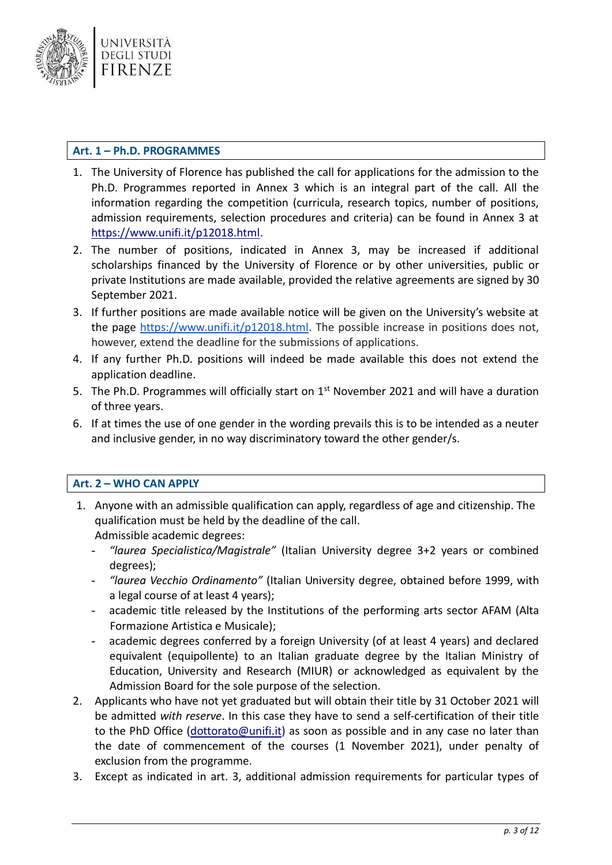

# <span id="page-2-0"></span>**Art. 1 – Ph.D. PROGRAMMES**

- 1. The University of Florence has published the call for applications for the admission to the Ph.D. Programmes reported in Annex 3 which is an integral part of the call. All the information regarding the competition (curricula, research topics, number of positions, admission requirements, selection procedures and criteria) can be found in Annex 3 at [https://www.unifi.it/p12018.html.](https://www.unifi.it/p12018.html)
- 2. The number of positions, indicated in Annex 3, may be increased if additional scholarships financed by the University of Florence or by other universities, public or private Institutions are made available, provided the relative agreements are signed by 30 September 2021.
- 3. If further positions are made available notice will be given on the University's website at the page [https://www.unifi.it/p12018.html.](https://www.unifi.it/p12018.html) The possible increase in positions does not, however, extend the deadline for the submissions of applications.
- 4. If any further Ph.D. positions will indeed be made available this does not extend the application deadline.
- 5. The Ph.D. Programmes will officially start on 1<sup>st</sup> November 2021 and will have a duration of three years.
- 6. If at times the use of one gender in the wording prevails this is to be intended as a neuter and inclusive gender, in no way discriminatory toward the other gender/s.

# <span id="page-2-1"></span>**Art. 2 – WHO CAN APPLY**

- 1. Anyone with an admissible qualification can apply, regardless of age and citizenship. The qualification must be held by the deadline of the call. Admissible academic degrees:
	- *"laurea Specialistica/Magistrale"* (Italian University degree 3+2 years or combined degrees);
	- *"laurea Vecchio Ordinamento"* (Italian University degree, obtained before 1999, with a legal course of at least 4 years);
	- academic title released by the Institutions of the performing arts sector AFAM (Alta Formazione Artistica e Musicale);
	- academic degrees conferred by a foreign University (of at least 4 years) and declared equivalent (equipollente) to an Italian graduate degree by the Italian Ministry of Education, University and Research (MIUR) or acknowledged as equivalent by the Admission Board for the sole purpose of the selection.
- 2. Applicants who have not yet graduated but will obtain their title by 31 October 2021 will be admitted *with reserve*. In this case they have to send a self-certification of their title to the PhD Office [\(dottorato@unifi.it\)](mailto:dottorato@unifi.it) as soon as possible and in any case no later than the date of commencement of the courses (1 November 2021), under penalty of exclusion from the programme.
- 3. Except as indicated in art. 3, additional admission requirements for particular types of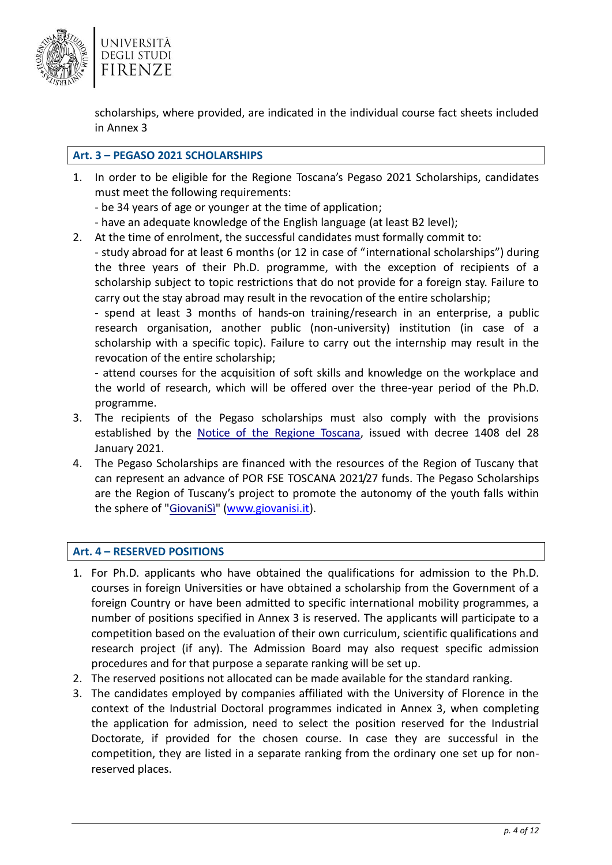

scholarships, where provided, are indicated in the individual course fact sheets included in Annex 3

# <span id="page-3-0"></span>**Art. 3 – PEGASO 2021 SCHOLARSHIPS**

- 1. In order to be eligible for the Regione Toscana's Pegaso 2021 Scholarships, candidates must meet the following requirements:
	- be 34 years of age or younger at the time of application;
	- have an adequate knowledge of the English language (at least B2 level);
- 2. At the time of enrolment, the successful candidates must formally commit to:

- study abroad for at least 6 months (or 12 in case of "international scholarships") during the three years of their Ph.D. programme, with the exception of recipients of a scholarship subject to topic restrictions that do not provide for a foreign stay. Failure to carry out the stay abroad may result in the revocation of the entire scholarship;

- spend at least 3 months of hands-on training/research in an enterprise, a public research organisation, another public (non-university) institution (in case of a scholarship with a specific topic). Failure to carry out the internship may result in the revocation of the entire scholarship;

- attend courses for the acquisition of soft skills and knowledge on the workplace and the world of research, which will be offered over the three-year period of the Ph.D. programme.

- 3. The recipients of the Pegaso scholarships must also comply with the provisions established by the [Notice of the Regione Toscana,](https://www.unifi.it/upload/sub/dottorati/37/avviso_pegaso2021.pdf) issued with decree 1408 del 28 January 2021.
- 4. The Pegaso Scholarships are financed with the resources of the Region of Tuscany that can represent an advance of POR FSE TOSCANA 2021/27 funds. The Pegaso Scholarships are the Region of Tuscany's project to promote the autonomy of the youth falls within the sphere of ["GiovaniSì"](http://www.giovanisi.it/) [\(www.giovanisi.it\)](http://www.giovanisi.it/).

### <span id="page-3-1"></span>**Art. 4 – RESERVED POSITIONS**

- 1. For Ph.D. applicants who have obtained the qualifications for admission to the Ph.D. courses in foreign Universities or have obtained a scholarship from the Government of a foreign Country or have been admitted to specific international mobility programmes, a number of positions specified in Annex 3 is reserved. The applicants will participate to a competition based on the evaluation of their own curriculum, scientific qualifications and research project (if any). The Admission Board may also request specific admission procedures and for that purpose a separate ranking will be set up.
- 2. The reserved positions not allocated can be made available for the standard ranking.
- 3. The candidates employed by companies affiliated with the University of Florence in the context of the Industrial Doctoral programmes indicated in Annex 3, when completing the application for admission, need to select the position reserved for the Industrial Doctorate, if provided for the chosen course. In case they are successful in the competition, they are listed in a separate ranking from the ordinary one set up for nonreserved places.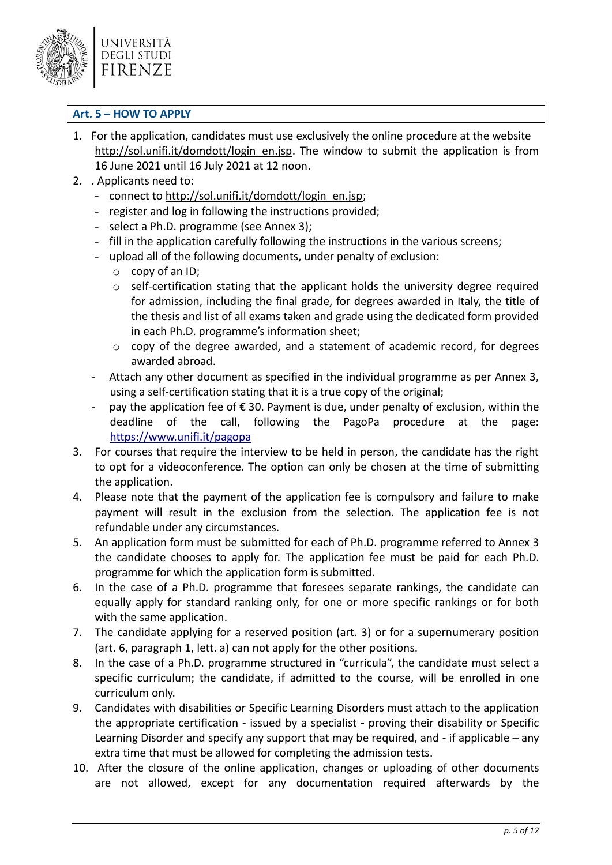

# <span id="page-4-0"></span>**Art. 5 – HOW TO APPLY**

- 1. For the application, candidates must use exclusively the online procedure at the website [http://sol.unifi.it/domdott/login\\_en.jsp.](http://sol.unifi.it/domdott/login_en.jsp) The window to submit the application is from 16 June 2021 until 16 July 2021 at 12 noon.
- 2. . Applicants need to:
	- connect to [http://sol.unifi.it/domdott/login\\_en.jsp;](http://sol.unifi.it/domdott/login_en.jsp)
	- register and log in following the instructions provided;
	- select a Ph.D. programme (see Annex 3);
	- fill in the application carefully following the instructions in the various screens;
	- upload all of the following documents, under penalty of exclusion:
		- o copy of an ID;
		- o self-certification stating that the applicant holds the university degree required for admission, including the final grade, for degrees awarded in Italy, the title of the thesis and list of all exams taken and grade using the dedicated form provided in each Ph.D. programme's information sheet;
		- o copy of the degree awarded, and a statement of academic record, for degrees awarded abroad.
	- Attach any other document as specified in the individual programme as per Annex 3, using a self-certification stating that it is a true copy of the original;
	- pay the application fee of  $\epsilon$  30. Payment is due, under penalty of exclusion, within the deadline of the call, following the PagoPa procedure at the page: <https://www.unifi.it/pagopa>
- 3. For courses that require the interview to be held in person, the candidate has the right to opt for a videoconference. The option can only be chosen at the time of submitting the application.
- 4. Please note that the payment of the application fee is compulsory and failure to make payment will result in the exclusion from the selection. The application fee is not refundable under any circumstances.
- 5. An application form must be submitted for each of Ph.D. programme referred to Annex 3 the candidate chooses to apply for. The application fee must be paid for each Ph.D. programme for which the application form is submitted.
- 6. In the case of a Ph.D. programme that foresees separate rankings, the candidate can equally apply for standard ranking only, for one or more specific rankings or for both with the same application.
- 7. The candidate applying for a reserved position (art. 3) or for a supernumerary position (art. 6, paragraph 1, lett. a) can not apply for the other positions.
- 8. In the case of a Ph.D. programme structured in "curricula", the candidate must select a specific curriculum; the candidate, if admitted to the course, will be enrolled in one curriculum only.
- 9. Candidates with disabilities or Specific Learning Disorders must attach to the application the appropriate certification - issued by a specialist - proving their disability or Specific Learning Disorder and specify any support that may be required, and - if applicable – any extra time that must be allowed for completing the admission tests.
- 10. After the closure of the online application, changes or uploading of other documents are not allowed, except for any documentation required afterwards by the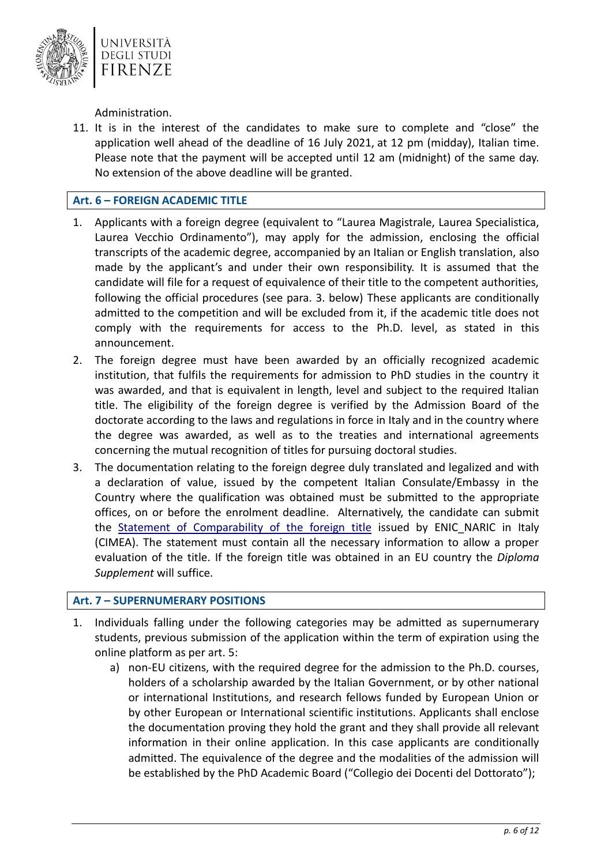

Administration.

11. It is in the interest of the candidates to make sure to complete and "close" the application well ahead of the deadline of 16 July 2021, at 12 pm (midday), Italian time. Please note that the payment will be accepted until 12 am (midnight) of the same day. No extension of the above deadline will be granted.

# <span id="page-5-0"></span>**Art. 6 – FOREIGN ACADEMIC TITLE**

- 1. Applicants with a foreign degree (equivalent to "Laurea Magistrale, Laurea Specialistica, Laurea Vecchio Ordinamento"), may apply for the admission, enclosing the official transcripts of the academic degree, accompanied by an Italian or English translation, also made by the applicant's and under their own responsibility. It is assumed that the candidate will file for a request of equivalence of their title to the competent authorities, following the official procedures (see para. 3. below) These applicants are conditionally admitted to the competition and will be excluded from it, if the academic title does not comply with the requirements for access to the Ph.D. level, as stated in this announcement.
- 2. The foreign degree must have been awarded by an officially recognized academic institution, that fulfils the requirements for admission to PhD studies in the country it was awarded, and that is equivalent in length, level and subject to the required Italian title. The eligibility of the foreign degree is verified by the Admission Board of the doctorate according to the laws and regulations in force in Italy and in the country where the degree was awarded, as well as to the treaties and international agreements concerning the mutual recognition of titles for pursuing doctoral studies.
- 3. The documentation relating to the foreign degree duly translated and legalized and with a declaration of value, issued by the competent Italian Consulate/Embassy in the Country where the qualification was obtained must be submitted to the appropriate offices, on or before the enrolment deadline. Alternatively, the candidate can submit the [Statement of Comparability of the foreign title](http://www.cimea.it/en/servizi/attestati-di-comparabilita-e-certificazione-dei-titoli/attestati-comparabilita-certificazione-titoli-overview.aspx) issued by ENIC NARIC in Italy (CIMEA). The statement must contain all the necessary information to allow a proper evaluation of the title. If the foreign title was obtained in an EU country the *Diploma Supplement* will suffice.

### <span id="page-5-1"></span>**Art. 7 – SUPERNUMERARY POSITIONS**

- 1. Individuals falling under the following categories may be admitted as supernumerary students, previous submission of the application within the term of expiration using the online platform as per art. 5:
	- a) non-EU citizens, with the required degree for the admission to the Ph.D. courses, holders of a scholarship awarded by the Italian Government, or by other national or international Institutions, and research fellows funded by European Union or by other European or International scientific institutions. Applicants shall enclose the documentation proving they hold the grant and they shall provide all relevant information in their online application. In this case applicants are conditionally admitted. The equivalence of the degree and the modalities of the admission will be established by the PhD Academic Board ("Collegio dei Docenti del Dottorato");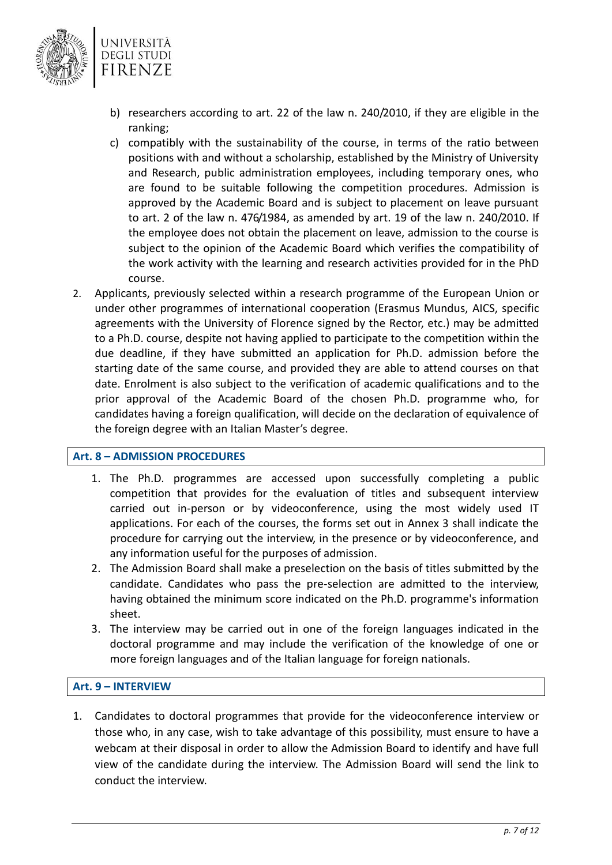

- b) researchers according to art. 22 of the law n. 240/2010, if they are eligible in the ranking;
- c) compatibly with the sustainability of the course, in terms of the ratio between positions with and without a scholarship, established by the Ministry of University and Research, public administration employees, including temporary ones, who are found to be suitable following the competition procedures. Admission is approved by the Academic Board and is subject to placement on leave pursuant to art. 2 of the law n. 476/1984, as amended by art. 19 of the law n. 240/2010. If the employee does not obtain the placement on leave, admission to the course is subject to the opinion of the Academic Board which verifies the compatibility of the work activity with the learning and research activities provided for in the PhD course.
- 2. Applicants, previously selected within a research programme of the European Union or under other programmes of international cooperation (Erasmus Mundus, AICS, specific agreements with the University of Florence signed by the Rector, etc.) may be admitted to a Ph.D. course, despite not having applied to participate to the competition within the due deadline, if they have submitted an application for Ph.D. admission before the starting date of the same course, and provided they are able to attend courses on that date. Enrolment is also subject to the verification of academic qualifications and to the prior approval of the Academic Board of the chosen Ph.D. programme who, for candidates having a foreign qualification, will decide on the declaration of equivalence of the foreign degree with an Italian Master's degree.

# <span id="page-6-0"></span>**Art. 8 – ADMISSION PROCEDURES**

- 1. The Ph.D. programmes are accessed upon successfully completing a public competition that provides for the evaluation of titles and subsequent interview carried out in-person or by videoconference, using the most widely used IT applications. For each of the courses, the forms set out in Annex 3 shall indicate the procedure for carrying out the interview, in the presence or by videoconference, and any information useful for the purposes of admission.
- 2. The Admission Board shall make a preselection on the basis of titles submitted by the candidate. Candidates who pass the pre-selection are admitted to the interview, having obtained the minimum score indicated on the Ph.D. programme's information sheet.
- 3. The interview may be carried out in one of the foreign languages indicated in the doctoral programme and may include the verification of the knowledge of one or more foreign languages and of the Italian language for foreign nationals.

# <span id="page-6-1"></span>**Art. 9 – INTERVIEW**

1. Candidates to doctoral programmes that provide for the videoconference interview or those who, in any case, wish to take advantage of this possibility, must ensure to have a webcam at their disposal in order to allow the Admission Board to identify and have full view of the candidate during the interview. The Admission Board will send the link to conduct the interview.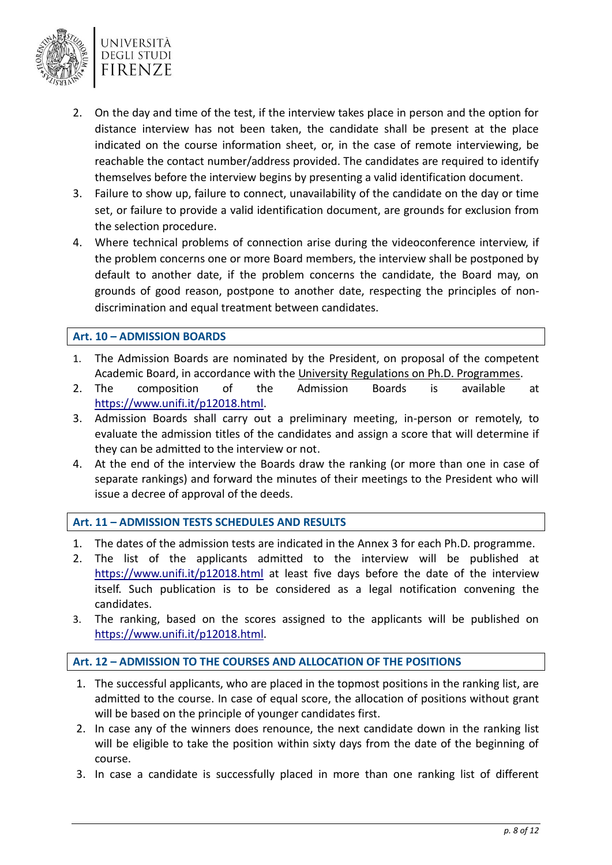

- 2. On the day and time of the test, if the interview takes place in person and the option for distance interview has not been taken, the candidate shall be present at the place indicated on the course information sheet, or, in the case of remote interviewing, be reachable the contact number/address provided. The candidates are required to identify themselves before the interview begins by presenting a valid identification document.
- 3. Failure to show up, failure to connect, unavailability of the candidate on the day or time set, or failure to provide a valid identification document, are grounds for exclusion from the selection procedure.
- 4. Where technical problems of connection arise during the videoconference interview, if the problem concerns one or more Board members, the interview shall be postponed by default to another date, if the problem concerns the candidate, the Board may, on grounds of good reason, postpone to another date, respecting the principles of nondiscrimination and equal treatment between candidates.

# <span id="page-7-0"></span>**Art. 10 – ADMISSION BOARDS**

- 1. The Admission Boards are nominated by the President, on proposal of the competent Academic Board, in accordance with the [University Regulations on Ph.D. Programmes.](https://www.unifi.it/upload/sub/statuto_normativa/dr_858_21_regolamento_dottorato.pdf)
- 2. The composition of the Admission Boards is available at [https://www.unifi.it/p12018.html.](https://www.unifi.it/p12018.html)
- 3. Admission Boards shall carry out a preliminary meeting, in-person or remotely, to evaluate the admission titles of the candidates and assign a score that will determine if they can be admitted to the interview or not.
- 4. At the end of the interview the Boards draw the ranking (or more than one in case of separate rankings) and forward the minutes of their meetings to the President who will issue a decree of approval of the deeds.

### <span id="page-7-1"></span>**Art. 11 – ADMISSION TESTS SCHEDULES AND RESULTS**

- 1. The dates of the admission tests are indicated in the Annex 3 for each Ph.D. programme.
- 2. The list of the applicants admitted to the interview will be published at <https://www.unifi.it/p12018.html> at least five days before the date of the interview itself. Such publication is to be considered as a legal notification convening the candidates.
- 3. The ranking, based on the scores assigned to the applicants will be published on [https://www.unifi.it/p12018.html.](https://www.unifi.it/p12018.html)

### <span id="page-7-2"></span>**Art. 12 – ADMISSION TO THE COURSES AND ALLOCATION OF THE POSITIONS**

- 1. The successful applicants, who are placed in the topmost positions in the ranking list, are admitted to the course. In case of equal score, the allocation of positions without grant will be based on the principle of younger candidates first.
- 2. In case any of the winners does renounce, the next candidate down in the ranking list will be eligible to take the position within sixty days from the date of the beginning of course.
- 3. In case a candidate is successfully placed in more than one ranking list of different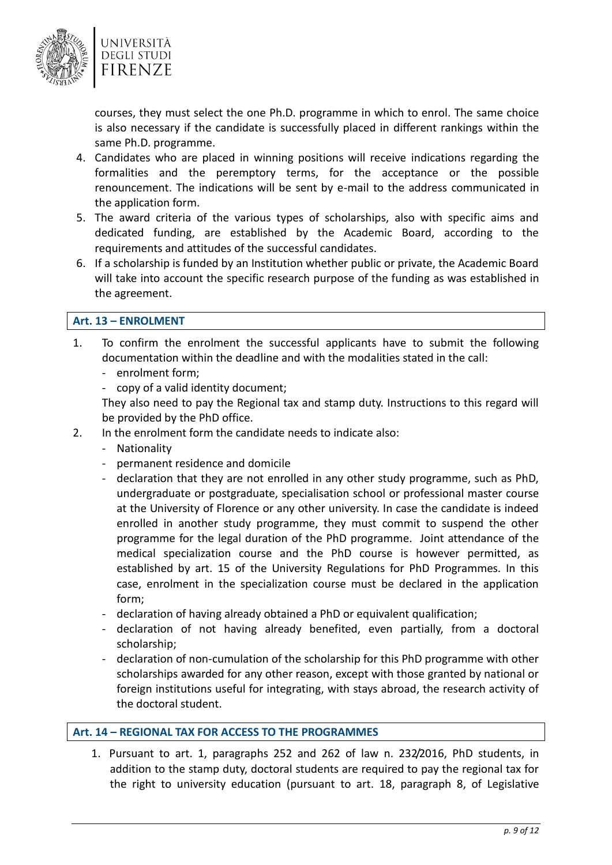

courses, they must select the one Ph.D. programme in which to enrol. The same choice is also necessary if the candidate is successfully placed in different rankings within the same Ph.D. programme.

- 4. Candidates who are placed in winning positions will receive indications regarding the formalities and the peremptory terms, for the acceptance or the possible renouncement. The indications will be sent by e-mail to the address communicated in the application form.
- 5. The award criteria of the various types of scholarships, also with specific aims and dedicated funding, are established by the Academic Board, according to the requirements and attitudes of the successful candidates.
- 6. If a scholarship is funded by an Institution whether public or private, the Academic Board will take into account the specific research purpose of the funding as was established in the agreement.

# <span id="page-8-0"></span>**Art. 13 – ENROLMENT**

- 1. To confirm the enrolment the successful applicants have to submit the following documentation within the deadline and with the modalities stated in the call:
	- enrolment form;
	- copy of a valid identity document;

They also need to pay the Regional tax and stamp duty. Instructions to this regard will be provided by the PhD office.

- 2. In the enrolment form the candidate needs to indicate also:
	- Nationality
	- permanent residence and domicile
	- declaration that they are not enrolled in any other study programme, such as PhD, undergraduate or postgraduate, specialisation school or professional master course at the University of Florence or any other university. In case the candidate is indeed enrolled in another study programme, they must commit to suspend the other programme for the legal duration of the PhD programme. Joint attendance of the medical specialization course and the PhD course is however permitted, as established by art. 15 of the University Regulations for PhD Programmes. In this case, enrolment in the specialization course must be declared in the application form;
	- declaration of having already obtained a PhD or equivalent qualification;
	- declaration of not having already benefited, even partially, from a doctoral scholarship;
	- declaration of non-cumulation of the scholarship for this PhD programme with other scholarships awarded for any other reason, except with those granted by national or foreign institutions useful for integrating, with stays abroad, the research activity of the doctoral student.

### <span id="page-8-1"></span>**Art. 14 – REGIONAL TAX FOR ACCESS TO THE PROGRAMMES**

1. Pursuant to art. 1, paragraphs 252 and 262 of law n. 232/2016, PhD students, in addition to the stamp duty, doctoral students are required to pay the regional tax for the right to university education (pursuant to art. 18, paragraph 8, of Legislative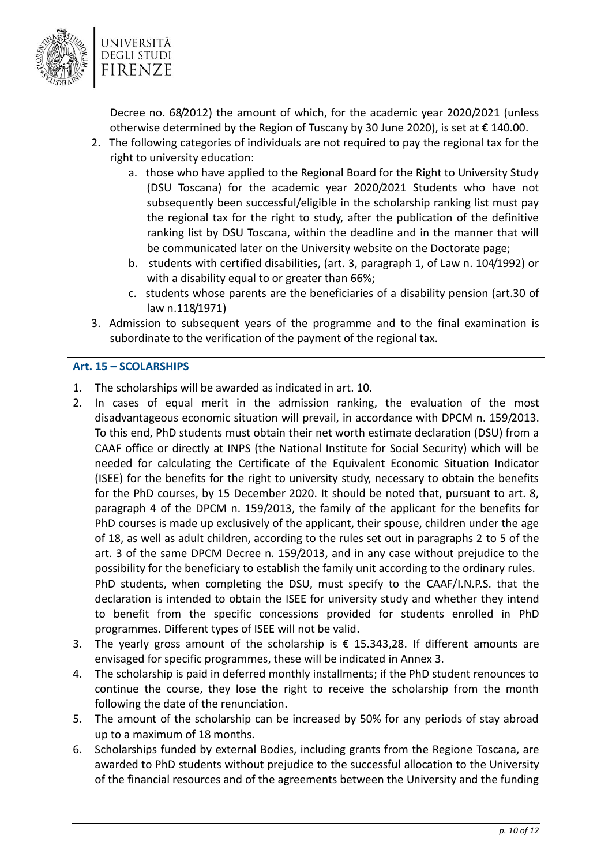

Decree no. 68/2012) the amount of which, for the academic year 2020/2021 (unless otherwise determined by the Region of Tuscany by 30 June 2020), is set at  $\epsilon$  140.00.

- 2. The following categories of individuals are not required to pay the regional tax for the right to university education:
	- a. those who have applied to the Regional Board for the Right to University Study (DSU Toscana) for the academic year 2020/2021 Students who have not subsequently been successful/eligible in the scholarship ranking list must pay the regional tax for the right to study, after the publication of the definitive ranking list by DSU Toscana, within the deadline and in the manner that will be communicated later on the University website on the Doctorate page;
	- b. students with certified disabilities, (art. 3, paragraph 1, of Law n. 104/1992) or with a disability equal to or greater than 66%;
	- c. students whose parents are the beneficiaries of a disability pension (art.30 of law n.118/1971)
- 3. Admission to subsequent years of the programme and to the final examination is subordinate to the verification of the payment of the regional tax.

# <span id="page-9-0"></span>**Art. 15 – SCOLARSHIPS**

- 1. The scholarships will be awarded as indicated in art. 10.
- 2. In cases of equal merit in the admission ranking, the evaluation of the most disadvantageous economic situation will prevail, in accordance with DPCM n. 159/2013. To this end, PhD students must obtain their net worth estimate declaration (DSU) from a CAAF office or directly at INPS (the National Institute for Social Security) which will be needed for calculating the Certificate of the Equivalent Economic Situation Indicator (ISEE) for the benefits for the right to university study, necessary to obtain the benefits for the PhD courses, by 15 December 2020. It should be noted that, pursuant to art. 8, paragraph 4 of the DPCM n. 159/2013, the family of the applicant for the benefits for PhD courses is made up exclusively of the applicant, their spouse, children under the age of 18, as well as adult children, according to the rules set out in paragraphs 2 to 5 of the art. 3 of the same DPCM Decree n. 159/2013, and in any case without prejudice to the possibility for the beneficiary to establish the family unit according to the ordinary rules. PhD students, when completing the DSU, must specify to the CAAF/I.N.P.S. that the declaration is intended to obtain the ISEE for university study and whether they intend to benefit from the specific concessions provided for students enrolled in PhD programmes. Different types of ISEE will not be valid.
- 3. The yearly gross amount of the scholarship is  $\epsilon$  15.343,28. If different amounts are envisaged for specific programmes, these will be indicated in Annex 3.
- 4. The scholarship is paid in deferred monthly installments; if the PhD student renounces to continue the course, they lose the right to receive the scholarship from the month following the date of the renunciation.
- 5. The amount of the scholarship can be increased by 50% for any periods of stay abroad up to a maximum of 18 months.
- 6. Scholarships funded by external Bodies, including grants from the Regione Toscana, are awarded to PhD students without prejudice to the successful allocation to the University of the financial resources and of the agreements between the University and the funding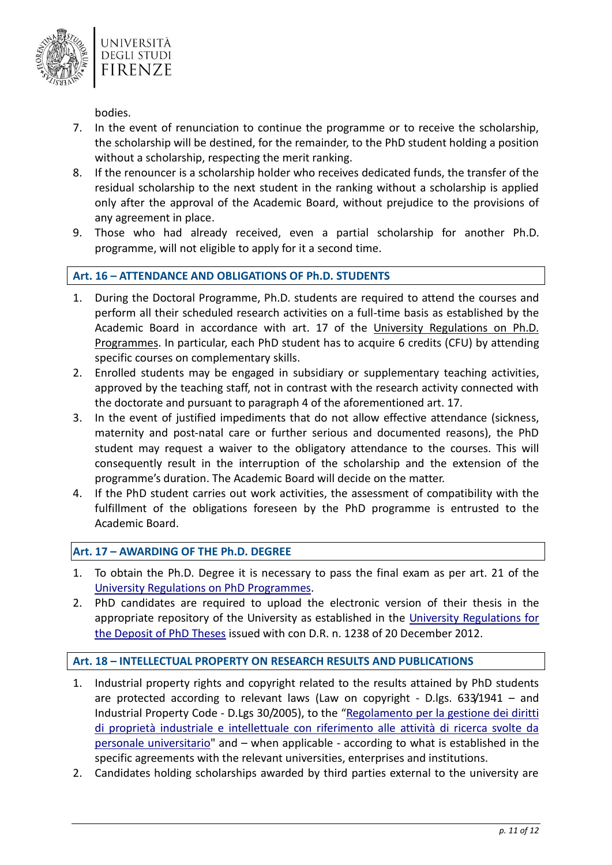

bodies.

- 7. In the event of renunciation to continue the programme or to receive the scholarship, the scholarship will be destined, for the remainder, to the PhD student holding a position without a scholarship, respecting the merit ranking.
- 8. If the renouncer is a scholarship holder who receives dedicated funds, the transfer of the residual scholarship to the next student in the ranking without a scholarship is applied only after the approval of the Academic Board, without prejudice to the provisions of any agreement in place.
- 9. Those who had already received, even a partial scholarship for another Ph.D. programme, will not eligible to apply for it a second time.

# <span id="page-10-0"></span>**Art. 16 – ATTENDANCE AND OBLIGATIONS OF Ph.D. STUDENTS**

- 1. During the Doctoral Programme, Ph.D. students are required to attend the courses and perform all their scheduled research activities on a full-time basis as established by the Academic Board in accordance with art. 17 of the [University Regulations on Ph.D.](https://www.unifi.it/upload/sub/statuto_normativa/dr_858_21_regolamento_dottorato.pdf)  [Programmes.](https://www.unifi.it/upload/sub/statuto_normativa/dr_858_21_regolamento_dottorato.pdf) In particular, each PhD student has to acquire 6 credits (CFU) by attending specific courses on complementary skills.
- 2. Enrolled students may be engaged in subsidiary or supplementary teaching activities, approved by the teaching staff, not in contrast with the research activity connected with the doctorate and pursuant to paragraph 4 of the aforementioned art. 17.
- 3. In the event of justified impediments that do not allow effective attendance (sickness, maternity and post-natal care or further serious and documented reasons), the PhD student may request a waiver to the obligatory attendance to the courses. This will consequently result in the interruption of the scholarship and the extension of the programme's duration. The Academic Board will decide on the matter.
- 4. If the PhD student carries out work activities, the assessment of compatibility with the fulfillment of the obligations foreseen by the PhD programme is entrusted to the Academic Board.

### <span id="page-10-1"></span>**Art. 17 – AWARDING OF THE Ph.D. DEGREE**

- 1. To obtain the Ph.D. Degree it is necessary to pass the final exam as per art. 21 of the [University Regulations on PhD Programmes.](https://www.unifi.it/upload/sub/statuto_normativa/dr_858_21_regolamento_dottorato.pdf)
- 2. PhD candidates are required to upload the electronic version of their thesis in the appropriate repository of the University as established in the [University Regulations for](https://www.unifi.it/upload/sub/statuto_normativa/Regolamento%20per%20il%20deposito%20della%20tesi%20di%20Dottorato.pdf)  [the Deposit of PhD Theses](https://www.unifi.it/upload/sub/statuto_normativa/Regolamento%20per%20il%20deposito%20della%20tesi%20di%20Dottorato.pdf) issued with con D.R. n. 1238 of 20 December 2012.

# <span id="page-10-2"></span>**Art. 18 – INTELLECTUAL PROPERTY ON RESEARCH RESULTS AND PUBLICATIONS**

- 1. Industrial property rights and copyright related to the results attained by PhD students are protected according to relevant laws (Law on copyright - D.lgs. 633/1941 – and Industrial Property Code - D.Lgs 30/2005), to the "[Regolamento per la gestione dei diritti](https://www.unifi.it/upload/sub/normativa/dr_526_080519_regolamento_proprieta_intellettuale.pdf)  [di proprietà industriale e intellettuale con riferimento alle attività di ricerca svolte da](https://www.unifi.it/upload/sub/normativa/dr_526_080519_regolamento_proprieta_intellettuale.pdf)  [personale universitario"](https://www.unifi.it/upload/sub/normativa/dr_526_080519_regolamento_proprieta_intellettuale.pdf) and – when applicable - according to what is established in the specific agreements with the relevant universities, enterprises and institutions.
- 2. Candidates holding scholarships awarded by third parties external to the university are